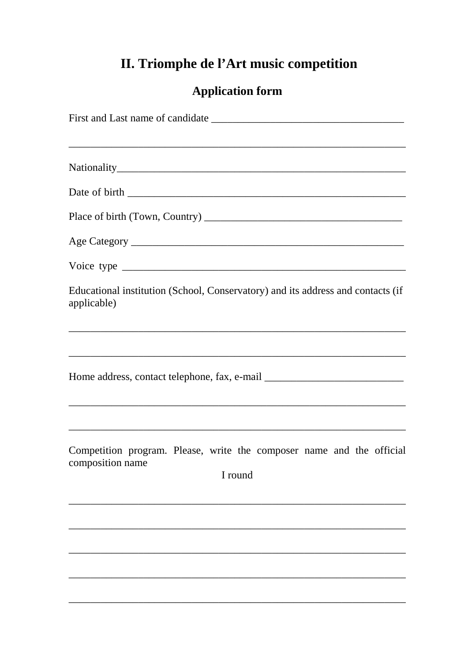## II. Triomphe de l'Art music competition

## **Application form**

| Educational institution (School, Conservatory) and its address and contacts (if<br>applicable)       |
|------------------------------------------------------------------------------------------------------|
|                                                                                                      |
| Home address, contact telephone, fax, e-mail ___________________________________                     |
|                                                                                                      |
| Competition program. Please, write the composer name and the official<br>composition name<br>I round |
|                                                                                                      |
|                                                                                                      |
|                                                                                                      |
|                                                                                                      |
|                                                                                                      |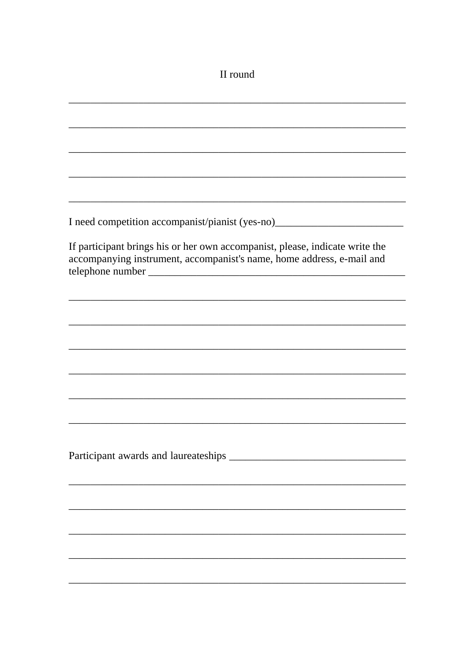## II round

| I need competition accompanist/pianist (yes-no)_________________________________                                                                      |
|-------------------------------------------------------------------------------------------------------------------------------------------------------|
| If participant brings his or her own accompanist, please, indicate write the<br>accompanying instrument, accompanist's name, home address, e-mail and |
|                                                                                                                                                       |
|                                                                                                                                                       |
| ,我们也不能在这里,我们也不能会在这里,我们也不能会在这里,我们也不能会在这里,我们也不能会在这里,我们也不能会不能会。""我们,我们也不能会不能会不能会不能会                                                                      |
|                                                                                                                                                       |
|                                                                                                                                                       |
|                                                                                                                                                       |
|                                                                                                                                                       |
|                                                                                                                                                       |
|                                                                                                                                                       |
|                                                                                                                                                       |
|                                                                                                                                                       |
|                                                                                                                                                       |
|                                                                                                                                                       |
|                                                                                                                                                       |
|                                                                                                                                                       |
|                                                                                                                                                       |
|                                                                                                                                                       |
|                                                                                                                                                       |
|                                                                                                                                                       |
|                                                                                                                                                       |